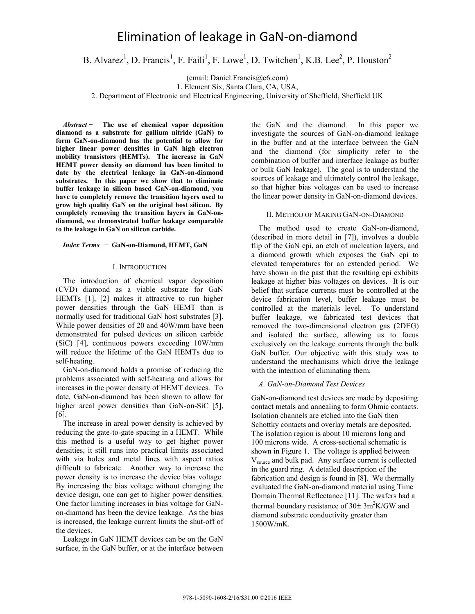# Elimination of leakage in GaN-on-diamond

B. Alvarez<sup>1</sup>, D. Francis<sup>1</sup>, F. Faili<sup>1</sup>, F. Lowe<sup>1</sup>, D. Twitchen<sup>1</sup>, K.B. Lee<sup>2</sup>, P. Houston<sup>2</sup>

(email: Daniel.Francis@e6.com)

1. Element Six, Santa Clara, CA, USA,

2. Department of Electronic and Electrical Engineering, University of Sheffield, Sheffield UK

*Abstract* **̶ The use of chemical vapor deposition diamond as a substrate for gallium nitride (GaN) to form GaN-on-diamond has the potential to allow for higher linear power densities in GaN high electron mobility transistors (HEMTs). The increase in GaN HEMT power density on diamond has been limited to date by the electrical leakage in GaN-on-diamond substrates. In this paper we show that to eliminate buffer leakage in silicon based GaN-on-diamond, you have to completely remove the transition layers used to grow high quality GaN on the original host silicon. By completely removing the transition layers in GaN-ondiamond, we demonstrated buffer leakage comparable to the leakage in GaN on silicon carbide.** 

#### *Index Terms* **̶ GaN-on-Diamond, HEMT, GaN**

## I. INTRODUCTION

The introduction of chemical vapor deposition (CVD) diamond as a viable substrate for GaN HEMTs [1], [2] makes it attractive to run higher power densities through the GaN HEMT than is normally used for traditional GaN host substrates [3]. While power densities of 20 and 40W/mm have been demonstrated for pulsed devices on silicon carbide (SiC) [4], continuous powers exceeding 10W/mm will reduce the lifetime of the GaN HEMTs due to self-heating.

GaN-on-diamond holds a promise of reducing the problems associated with self-heating and allows for increases in the power density of HEMT devices. To date, GaN-on-diamond has been shown to allow for higher areal power densities than GaN-on-SiC [5], [6].

The increase in areal power density is achieved by reducing the gate-to-gate spacing in a HEMT. While this method is a useful way to get higher power densities, it still runs into practical limits associated with via holes and metal lines with aspect ratios difficult to fabricate. Another way to increase the power density is to increase the device bias voltage. By increasing the bias voltage without changing the device design, one can get to higher power densities. One factor limiting increases in bias voltage for GaNon-diamond has been the device leakage. As the bias is increased, the leakage current limits the shut-off of the devices.

Leakage in GaN HEMT devices can be on the GaN surface, in the GaN buffer, or at the interface between the GaN and the diamond. In this paper we investigate the sources of GaN-on-diamond leakage in the buffer and at the interface between the GaN and the diamond (for simplicity refer to the combination of buffer and interface leakage as buffer or bulk GaN leakage). The goal is to understand the sources of leakage and ultimately control the leakage, so that higher bias voltages can be used to increase the linear power density in GaN-on-diamond devices.

## II. METHOD OF MAKING GAN-ON-DIAMOND

The method used to create GaN-on-diamond, (described in more detail in [7]), involves a double flip of the GaN epi, an etch of nucleation layers, and a diamond growth which exposes the GaN epi to elevated temperatures for an extended period. We have shown in the past that the resulting epi exhibits leakage at higher bias voltages on devices. It is our belief that surface currents must be controlled at the device fabrication level, buffer leakage must be controlled at the materials level. To understand buffer leakage, we fabricated test devices that removed the two-dimensional electron gas (2DEG) and isolated the surface, allowing us to focus exclusively on the leakage currents through the bulk GaN buffer. Our objective with this study was to understand the mechanisms which drive the leakage with the intention of eliminating them.

# *A. GaN-on-Diamond Test Devices*

GaN-on-diamond test devices are made by depositing contact metals and annealing to form Ohmic contacts. Isolation channels are etched into the GaN then Schottky contacts and overlay metals are deposited. The isolation region is about 10 microns long and 100 microns wide. A cross-sectional schematic is shown in Figure 1. The voltage is applied between Vsource and bulk pad. Any surface current is collected in the guard ring. A detailed description of the fabrication and design is found in [8]. We thermally evaluated the GaN-on-diamond material using Time Domain Thermal Reflectance [11]. The wafers had a thermal boundary resistance of  $30\pm 3m^2K/GW$  and diamond substrate conductivity greater than 1500W/mK.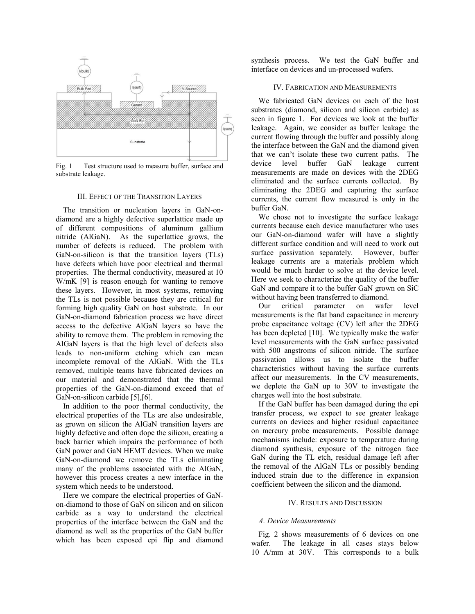

Fig. 1 Test structure used to measure buffer, surface and substrate leakage.

### III. EFFECT OF THE TRANSITION LAYERS

The transition or nucleation layers in GaN-ondiamond are a highly defective superlattice made up of different compositions of aluminum gallium nitride (AlGaN). As the superlattice grows, the number of defects is reduced. The problem with GaN-on-silicon is that the transition layers (TLs) have defects which have poor electrical and thermal properties. The thermal conductivity, measured at 10 W/mK [9] is reason enough for wanting to remove these layers. However, in most systems, removing the TLs is not possible because they are critical for forming high quality GaN on host substrate. In our GaN-on-diamond fabrication process we have direct access to the defective AlGaN layers so have the ability to remove them. The problem in removing the AlGaN layers is that the high level of defects also leads to non-uniform etching which can mean incomplete removal of the AlGaN. With the TLs removed, multiple teams have fabricated devices on our material and demonstrated that the thermal properties of the GaN-on-diamond exceed that of GaN-on-silicon carbide [5], [6].

In addition to the poor thermal conductivity, the electrical properties of the TLs are also undesirable, as grown on silicon the AlGaN transition layers are highly defective and often dope the silicon, creating a back barrier which impairs the performance of both GaN power and GaN HEMT devices. When we make GaN-on-diamond we remove the TLs eliminating many of the problems associated with the AlGaN, however this process creates a new interface in the system which needs to be understood.

Here we compare the electrical properties of GaNon-diamond to those of GaN on silicon and on silicon carbide as a way to understand the electrical properties of the interface between the GaN and the diamond as well as the properties of the GaN buffer which has been exposed epi flip and diamond

synthesis process. We test the GaN buffer and interface on devices and un-processed wafers.

#### IV. FABRICATION AND MEASUREMENTS

We fabricated GaN devices on each of the host substrates (diamond, silicon and silicon carbide) as seen in figure 1. For devices we look at the buffer leakage. Again, we consider as buffer leakage the current flowing through the buffer and possibly along the interface between the GaN and the diamond given that we can't isolate these two current paths. The device level buffer GaN leakage current measurements are made on devices with the 2DEG eliminated and the surface currents collected. By eliminating the 2DEG and capturing the surface currents, the current flow measured is only in the buffer GaN.

We chose not to investigate the surface leakage currents because each device manufacturer who uses our GaN-on-diamond wafer will have a slightly different surface condition and will need to work out surface passivation separately. However, buffer leakage currents are a materials problem which would be much harder to solve at the device level. Here we seek to characterize the quality of the buffer GaN and compare it to the buffer GaN grown on SiC without having been transferred to diamond.

Our critical parameter on wafer level measurements is the flat band capacitance in mercury probe capacitance voltage (CV) left after the 2DEG has been depleted [10]. We typically make the wafer level measurements with the GaN surface passivated with 500 angstroms of silicon nitride. The surface passivation allows us to isolate the buffer characteristics without having the surface currents affect our measurements. In the CV measurements, we deplete the GaN up to 30V to investigate the charges well into the host substrate.

If the GaN buffer has been damaged during the epi transfer process, we expect to see greater leakage currents on devices and higher residual capacitance on mercury probe measurements. Possible damage mechanisms include: exposure to temperature during diamond synthesis, exposure of the nitrogen face GaN during the TL etch, residual damage left after the removal of the AlGaN TLs or possibly bending induced strain due to the difference in expansion coefficient between the silicon and the diamond.

# IV. RESULTS AND DISCUSSION

# *A. Device Measurements*

Fig. 2 shows measurements of 6 devices on one wafer. The leakage in all cases stays below 10µA/mm at 30V. This corresponds to a bulk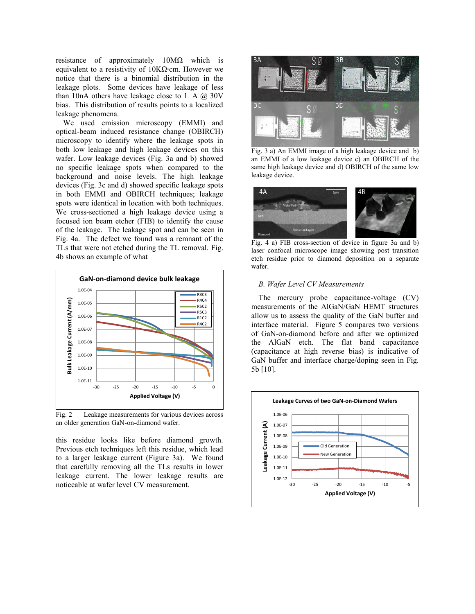resistance of approximately 10MΩ which is equivalent to a resistivity of 10KΩ∙cm. However we notice that there is a binomial distribution in the leakage plots. Some devices have leakage of less than 10nA others have leakage close to  $1\mu A$   $\omega$  30V bias. This distribution of results points to a localized leakage phenomena.

We used emission microscopy (EMMI) and optical-beam induced resistance change (OBIRCH) microscopy to identify where the leakage spots in both low leakage and high leakage devices on this wafer. Low leakage devices (Fig. 3a and b) showed no specific leakage spots when compared to the background and noise levels. The high leakage devices (Fig. 3c and d) showed specific leakage spots in both EMMI and OBIRCH techniques; leakage spots were identical in location with both techniques. We cross-sectioned a high leakage device using a focused ion beam etcher (FIB) to identify the cause of the leakage. The leakage spot and can be seen in Fig. 4a. The defect we found was a remnant of the TLs that were not etched during the TL removal. Fig. 4b shows an example of what



Fig. 2 Leakage measurements for various devices across an older generation GaN-on-diamond wafer.

this residue looks like before diamond growth. Previous etch techniques left this residue, which lead to a larger leakage current (Figure 3a). We found that carefully removing all the TLs results in lower leakage current. The lower leakage results are noticeable at wafer level CV measurement.



Fig. 3 a) An EMMI image of a high leakage device and b) an EMMI of a low leakage device c) an OBIRCH of the same high leakage device and d) OBIRCH of the same low leakage device.



Fig. 4 a) FIB cross-section of device in figure 3a and b) laser confocal microscope image showing post transition etch residue prior to diamond deposition on a separate wafer.

# *B. Wafer Level CV Measurements*

The mercury probe capacitance-voltage (CV) measurements of the AlGaN/GaN HEMT structures allow us to assess the quality of the GaN buffer and interface material. Figure 5 compares two versions of GaN-on-diamond before and after we optimized the AlGaN etch. The flat band capacitance (capacitance at high reverse bias) is indicative of GaN buffer and interface charge/doping seen in Fig. 5b [10].